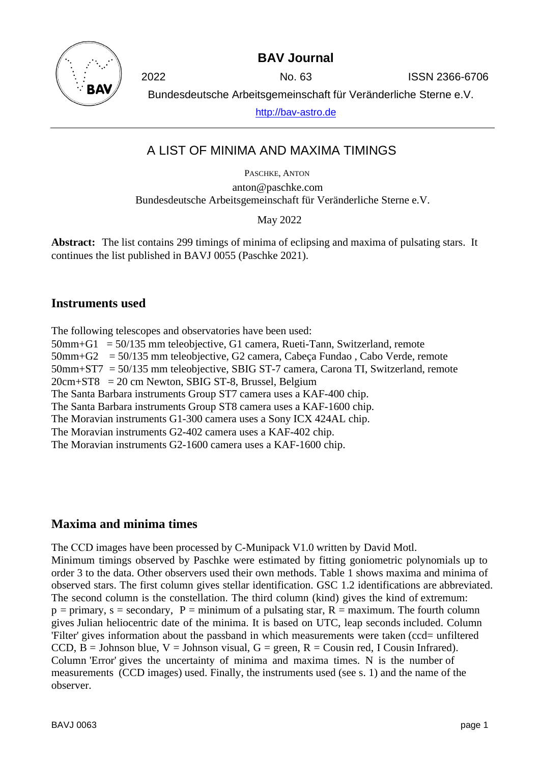

**BAV Journal**

2022 No. 63 ISSN 2366-6706

Bundesdeutsche Arbeitsgemeinschaft für Veränderliche Sterne e.V.

[http://bav-astro.de](http://bav-astro.de/)

# A LIST OF MINIMA AND MAXIMA TIMINGS

PASCHKE, ANTON anton@paschke.com Bundesdeutsche Arbeitsgemeinschaft für Veränderliche Sterne e.V.

May 2022

**Abstract:** The list contains 299 timings of minima of eclipsing and maxima of pulsating stars. It continues the list published in BAVJ 0055 (Paschke 2021).

### **Instruments used**

The following telescopes and observatories have been used: 50mm+G1 = 50/135 mm teleobjective, G1 camera, Rueti-Tann, Switzerland, remote 50mm+G2 = 50/135 mm teleobjective, G2 camera, Cabeça Fundao , Cabo Verde, remote 50mm+ST7 = 50/135 mm teleobjective, SBIG ST-7 camera, Carona TI, Switzerland, remote  $20cm + ST8 = 20cm$  Newton, SBIG ST-8, Brussel, Belgium The Santa Barbara instruments Group ST7 camera uses a KAF-400 chip. The Santa Barbara instruments Group ST8 camera uses a KAF-1600 chip. The Moravian instruments G1-300 camera uses a Sony ICX 424AL chip. The Moravian instruments G2-402 camera uses a KAF-402 chip. The Moravian instruments G2-1600 camera uses a KAF-1600 chip.

## **Maxima and minima times**

The CCD images have been processed by C-Munipack V1.0 written by David Motl. Minimum timings observed by Paschke were estimated by fitting goniometric polynomials up to order 3 to the data. Other observers used their own methods. Table 1 shows maxima and minima of observed stars. The first column gives stellar identification. GSC 1.2 identifications are abbreviated. The second column is the constellation. The third column (kind) gives the kind of extremum:  $p =$  primary,  $s =$  secondary,  $P =$  minimum of a pulsating star,  $R =$  maximum. The fourth column gives Julian heliocentric date of the minima. It is based on UTC, leap seconds included. Column 'Filter' gives information about the passband in which measurements were taken (ccd= unfiltered CCD,  $B =$  Johnson blue,  $V =$  Johnson visual,  $G =$  green,  $R =$  Cousin red, I Cousin Infrared). Column 'Error' gives the uncertainty of minima and maxima times. N is the number of measurements (CCD images) used. Finally, the instruments used (see s. 1) and the name of the observer.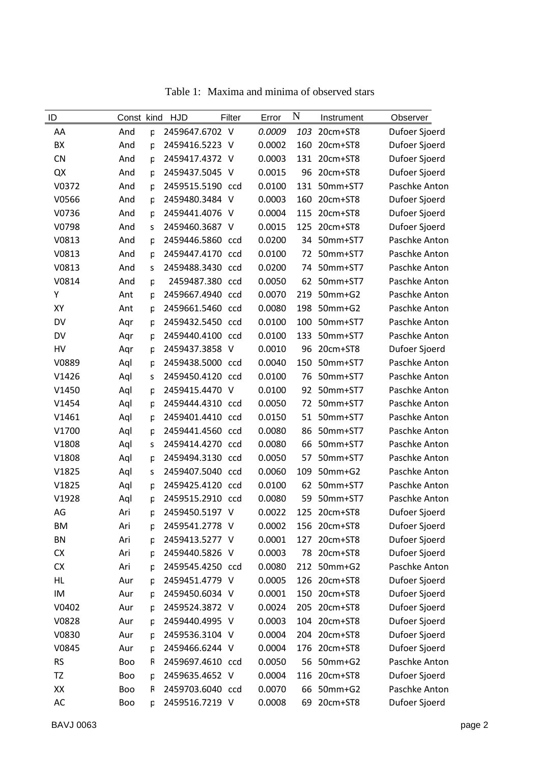| AA<br>And<br>2459647.6702 V<br>0.0009<br>103<br>20cm+ST8<br>Dufoer Sjoerd<br>p<br>0.0002<br>BX<br>2459416.5223 V<br>160<br>20cm+ST8<br>Dufoer Sjoerd<br>And<br>p<br>Dufoer Sjoerd<br><b>CN</b><br>2459417.4372 V<br>0.0003<br>131 20cm+ST8<br>And<br>p<br>0.0015<br>20cm+ST8<br>Dufoer Sjoerd<br>QX<br>2459437.5045 V<br>96<br>And<br>p<br>V0372<br>2459515.5190 ccd<br>0.0100<br>131<br>50mm+ST7<br>Paschke Anton<br>And<br>p<br>2459480.3484 V<br>Dufoer Sjoerd<br>V0566<br>0.0003<br>160<br>20cm+ST8<br>And<br>p<br>Dufoer Sjoerd<br>2459441.4076 V<br>0.0004<br>115<br>20cm+ST8<br>V0736<br>And<br>p<br>2459460.3687 V<br>0.0015<br>20cm+ST8<br>Dufoer Sjoerd<br>V0798<br>125<br>And<br>S<br>Paschke Anton<br>V0813<br>2459446.5860 ccd<br>0.0200<br>34<br>50mm+ST7<br>And<br>p<br>V0813<br>2459447.4170 ccd<br>0.0100<br>72<br>50mm+ST7<br>Paschke Anton<br>And<br>p<br>2459488.3430 ccd<br>50mm+ST7<br>Paschke Anton<br>V0813<br>And<br>0.0200<br>74<br>S<br>0.0050<br>V0814<br>2459487.380 ccd<br>62<br>50mm+ST7<br>Paschke Anton<br>And<br>p<br>Υ<br>2459667.4940 ccd<br>0.0070<br>219<br>50mm+G2<br>Paschke Anton<br>Ant<br>p<br>2459661.5460 ccd<br>XY<br>0.0080<br>198<br>50mm+G2<br>Ant<br>Paschke Anton<br>p<br>DV<br>2459432.5450 ccd<br>0.0100<br>100<br>50mm+ST7<br>Paschke Anton<br>Aqr<br>p<br>2459440.4100 ccd<br>0.0100<br>DV<br>133<br>50mm+ST7<br>Paschke Anton<br>Aqr<br>p<br>20cm+ST8<br>Dufoer Sjoerd<br>HV<br>2459437.3858 V<br>0.0010<br>96<br>Aqr<br>p<br>2459438.5000 ccd<br>V0889<br>0.0040<br>150<br>50mm+ST7<br>Paschke Anton<br>Aql<br>p<br>V1426<br>2459450.4120 ccd<br>0.0100<br>50mm+ST7<br>Paschke Anton<br>Aql<br>76<br>S<br>2459415.4470 V<br>0.0100<br>V1450<br>92<br>50mm+ST7<br>Aql<br>p |               |
|------------------------------------------------------------------------------------------------------------------------------------------------------------------------------------------------------------------------------------------------------------------------------------------------------------------------------------------------------------------------------------------------------------------------------------------------------------------------------------------------------------------------------------------------------------------------------------------------------------------------------------------------------------------------------------------------------------------------------------------------------------------------------------------------------------------------------------------------------------------------------------------------------------------------------------------------------------------------------------------------------------------------------------------------------------------------------------------------------------------------------------------------------------------------------------------------------------------------------------------------------------------------------------------------------------------------------------------------------------------------------------------------------------------------------------------------------------------------------------------------------------------------------------------------------------------------------------------------------------------------------------------------------------------------------------------------------------------------------------|---------------|
|                                                                                                                                                                                                                                                                                                                                                                                                                                                                                                                                                                                                                                                                                                                                                                                                                                                                                                                                                                                                                                                                                                                                                                                                                                                                                                                                                                                                                                                                                                                                                                                                                                                                                                                                    |               |
|                                                                                                                                                                                                                                                                                                                                                                                                                                                                                                                                                                                                                                                                                                                                                                                                                                                                                                                                                                                                                                                                                                                                                                                                                                                                                                                                                                                                                                                                                                                                                                                                                                                                                                                                    |               |
|                                                                                                                                                                                                                                                                                                                                                                                                                                                                                                                                                                                                                                                                                                                                                                                                                                                                                                                                                                                                                                                                                                                                                                                                                                                                                                                                                                                                                                                                                                                                                                                                                                                                                                                                    |               |
|                                                                                                                                                                                                                                                                                                                                                                                                                                                                                                                                                                                                                                                                                                                                                                                                                                                                                                                                                                                                                                                                                                                                                                                                                                                                                                                                                                                                                                                                                                                                                                                                                                                                                                                                    |               |
|                                                                                                                                                                                                                                                                                                                                                                                                                                                                                                                                                                                                                                                                                                                                                                                                                                                                                                                                                                                                                                                                                                                                                                                                                                                                                                                                                                                                                                                                                                                                                                                                                                                                                                                                    |               |
|                                                                                                                                                                                                                                                                                                                                                                                                                                                                                                                                                                                                                                                                                                                                                                                                                                                                                                                                                                                                                                                                                                                                                                                                                                                                                                                                                                                                                                                                                                                                                                                                                                                                                                                                    |               |
|                                                                                                                                                                                                                                                                                                                                                                                                                                                                                                                                                                                                                                                                                                                                                                                                                                                                                                                                                                                                                                                                                                                                                                                                                                                                                                                                                                                                                                                                                                                                                                                                                                                                                                                                    |               |
|                                                                                                                                                                                                                                                                                                                                                                                                                                                                                                                                                                                                                                                                                                                                                                                                                                                                                                                                                                                                                                                                                                                                                                                                                                                                                                                                                                                                                                                                                                                                                                                                                                                                                                                                    |               |
|                                                                                                                                                                                                                                                                                                                                                                                                                                                                                                                                                                                                                                                                                                                                                                                                                                                                                                                                                                                                                                                                                                                                                                                                                                                                                                                                                                                                                                                                                                                                                                                                                                                                                                                                    |               |
|                                                                                                                                                                                                                                                                                                                                                                                                                                                                                                                                                                                                                                                                                                                                                                                                                                                                                                                                                                                                                                                                                                                                                                                                                                                                                                                                                                                                                                                                                                                                                                                                                                                                                                                                    |               |
|                                                                                                                                                                                                                                                                                                                                                                                                                                                                                                                                                                                                                                                                                                                                                                                                                                                                                                                                                                                                                                                                                                                                                                                                                                                                                                                                                                                                                                                                                                                                                                                                                                                                                                                                    |               |
|                                                                                                                                                                                                                                                                                                                                                                                                                                                                                                                                                                                                                                                                                                                                                                                                                                                                                                                                                                                                                                                                                                                                                                                                                                                                                                                                                                                                                                                                                                                                                                                                                                                                                                                                    |               |
|                                                                                                                                                                                                                                                                                                                                                                                                                                                                                                                                                                                                                                                                                                                                                                                                                                                                                                                                                                                                                                                                                                                                                                                                                                                                                                                                                                                                                                                                                                                                                                                                                                                                                                                                    |               |
|                                                                                                                                                                                                                                                                                                                                                                                                                                                                                                                                                                                                                                                                                                                                                                                                                                                                                                                                                                                                                                                                                                                                                                                                                                                                                                                                                                                                                                                                                                                                                                                                                                                                                                                                    |               |
|                                                                                                                                                                                                                                                                                                                                                                                                                                                                                                                                                                                                                                                                                                                                                                                                                                                                                                                                                                                                                                                                                                                                                                                                                                                                                                                                                                                                                                                                                                                                                                                                                                                                                                                                    |               |
|                                                                                                                                                                                                                                                                                                                                                                                                                                                                                                                                                                                                                                                                                                                                                                                                                                                                                                                                                                                                                                                                                                                                                                                                                                                                                                                                                                                                                                                                                                                                                                                                                                                                                                                                    |               |
|                                                                                                                                                                                                                                                                                                                                                                                                                                                                                                                                                                                                                                                                                                                                                                                                                                                                                                                                                                                                                                                                                                                                                                                                                                                                                                                                                                                                                                                                                                                                                                                                                                                                                                                                    |               |
|                                                                                                                                                                                                                                                                                                                                                                                                                                                                                                                                                                                                                                                                                                                                                                                                                                                                                                                                                                                                                                                                                                                                                                                                                                                                                                                                                                                                                                                                                                                                                                                                                                                                                                                                    |               |
|                                                                                                                                                                                                                                                                                                                                                                                                                                                                                                                                                                                                                                                                                                                                                                                                                                                                                                                                                                                                                                                                                                                                                                                                                                                                                                                                                                                                                                                                                                                                                                                                                                                                                                                                    |               |
|                                                                                                                                                                                                                                                                                                                                                                                                                                                                                                                                                                                                                                                                                                                                                                                                                                                                                                                                                                                                                                                                                                                                                                                                                                                                                                                                                                                                                                                                                                                                                                                                                                                                                                                                    | Paschke Anton |
| 2459444.4310 ccd<br>0.0050<br>50mm+ST7<br>Paschke Anton<br>V1454<br>Aql<br>72<br>p                                                                                                                                                                                                                                                                                                                                                                                                                                                                                                                                                                                                                                                                                                                                                                                                                                                                                                                                                                                                                                                                                                                                                                                                                                                                                                                                                                                                                                                                                                                                                                                                                                                 |               |
| V1461<br>2459401.4410 ccd<br>0.0150<br>51<br>50mm+ST7<br>Aql<br>Paschke Anton<br>p                                                                                                                                                                                                                                                                                                                                                                                                                                                                                                                                                                                                                                                                                                                                                                                                                                                                                                                                                                                                                                                                                                                                                                                                                                                                                                                                                                                                                                                                                                                                                                                                                                                 |               |
| 2459441.4560 ccd<br>86<br>50mm+ST7<br>Paschke Anton<br>V1700<br>Aql<br>0.0080<br>p                                                                                                                                                                                                                                                                                                                                                                                                                                                                                                                                                                                                                                                                                                                                                                                                                                                                                                                                                                                                                                                                                                                                                                                                                                                                                                                                                                                                                                                                                                                                                                                                                                                 |               |
| 0.0080<br>V1808<br>Aql<br>2459414.4270 ccd<br>66<br>50mm+ST7<br>Paschke Anton<br>S                                                                                                                                                                                                                                                                                                                                                                                                                                                                                                                                                                                                                                                                                                                                                                                                                                                                                                                                                                                                                                                                                                                                                                                                                                                                                                                                                                                                                                                                                                                                                                                                                                                 |               |
| 2459494.3130 ccd<br>0.0050<br>57<br>50mm+ST7<br>Paschke Anton<br>V1808<br>Aql<br>p                                                                                                                                                                                                                                                                                                                                                                                                                                                                                                                                                                                                                                                                                                                                                                                                                                                                                                                                                                                                                                                                                                                                                                                                                                                                                                                                                                                                                                                                                                                                                                                                                                                 |               |
| V1825<br>2459407.5040 ccd<br>0.0060<br>109<br>50mm+G2<br>Aql<br>Paschke Anton<br>S                                                                                                                                                                                                                                                                                                                                                                                                                                                                                                                                                                                                                                                                                                                                                                                                                                                                                                                                                                                                                                                                                                                                                                                                                                                                                                                                                                                                                                                                                                                                                                                                                                                 |               |
| 2459425.4120 ccd<br>0.0100<br>62<br>50mm+ST7<br>Paschke Anton<br>V1825<br>Aql<br>p                                                                                                                                                                                                                                                                                                                                                                                                                                                                                                                                                                                                                                                                                                                                                                                                                                                                                                                                                                                                                                                                                                                                                                                                                                                                                                                                                                                                                                                                                                                                                                                                                                                 |               |
| 2459515.2910 ccd<br>V1928<br>0.0080<br>59<br>50mm+ST7<br>Paschke Anton<br>Aql<br>p                                                                                                                                                                                                                                                                                                                                                                                                                                                                                                                                                                                                                                                                                                                                                                                                                                                                                                                                                                                                                                                                                                                                                                                                                                                                                                                                                                                                                                                                                                                                                                                                                                                 |               |
| 2459450.5197 V<br>AG<br>0.0022<br>125<br>20cm+ST8<br>Dufoer Sjoerd<br>Ari<br>р                                                                                                                                                                                                                                                                                                                                                                                                                                                                                                                                                                                                                                                                                                                                                                                                                                                                                                                                                                                                                                                                                                                                                                                                                                                                                                                                                                                                                                                                                                                                                                                                                                                     |               |
| 0.0002<br>20cm+ST8<br>ВM<br>Ari<br>2459541.2778 V<br>156<br>Dufoer Sjoerd<br>р                                                                                                                                                                                                                                                                                                                                                                                                                                                                                                                                                                                                                                                                                                                                                                                                                                                                                                                                                                                                                                                                                                                                                                                                                                                                                                                                                                                                                                                                                                                                                                                                                                                     |               |
| 20cm+ST8<br>BN<br>2459413.5277 V<br>0.0001<br>127<br>Dufoer Sjoerd<br>Ari<br>р                                                                                                                                                                                                                                                                                                                                                                                                                                                                                                                                                                                                                                                                                                                                                                                                                                                                                                                                                                                                                                                                                                                                                                                                                                                                                                                                                                                                                                                                                                                                                                                                                                                     |               |
| Dufoer Sjoerd<br>CX<br>Ari<br>2459440.5826 V<br>0.0003<br>78<br>20cm+ST8<br>p                                                                                                                                                                                                                                                                                                                                                                                                                                                                                                                                                                                                                                                                                                                                                                                                                                                                                                                                                                                                                                                                                                                                                                                                                                                                                                                                                                                                                                                                                                                                                                                                                                                      |               |
| 2459545.4250 ccd<br>0.0080<br>212<br>50mm+G2<br>Paschke Anton<br><b>CX</b><br>Ari<br>р                                                                                                                                                                                                                                                                                                                                                                                                                                                                                                                                                                                                                                                                                                                                                                                                                                                                                                                                                                                                                                                                                                                                                                                                                                                                                                                                                                                                                                                                                                                                                                                                                                             |               |
| 20cm+ST8<br>Dufoer Sjoerd<br>HL<br>2459451.4779 V<br>0.0005<br>126<br>Aur<br>p                                                                                                                                                                                                                                                                                                                                                                                                                                                                                                                                                                                                                                                                                                                                                                                                                                                                                                                                                                                                                                                                                                                                                                                                                                                                                                                                                                                                                                                                                                                                                                                                                                                     |               |
| IM<br>2459450.6034 V<br>0.0001<br>150<br>20cm+ST8<br>Dufoer Sjoerd<br>Aur<br>р                                                                                                                                                                                                                                                                                                                                                                                                                                                                                                                                                                                                                                                                                                                                                                                                                                                                                                                                                                                                                                                                                                                                                                                                                                                                                                                                                                                                                                                                                                                                                                                                                                                     |               |
| Dufoer Sjoerd<br>V0402<br>2459524.3872 V<br>0.0024<br>205<br>20cm+ST8<br>Aur<br>p                                                                                                                                                                                                                                                                                                                                                                                                                                                                                                                                                                                                                                                                                                                                                                                                                                                                                                                                                                                                                                                                                                                                                                                                                                                                                                                                                                                                                                                                                                                                                                                                                                                  |               |
| 2459440.4995 V<br>0.0003<br>104<br>20cm+ST8<br>Dufoer Sjoerd<br>V0828<br>Aur<br>р                                                                                                                                                                                                                                                                                                                                                                                                                                                                                                                                                                                                                                                                                                                                                                                                                                                                                                                                                                                                                                                                                                                                                                                                                                                                                                                                                                                                                                                                                                                                                                                                                                                  |               |
| 2459536.3104 V<br>20cm+ST8<br>Dufoer Sjoerd<br>V0830<br>0.0004<br>204<br>Aur<br>p                                                                                                                                                                                                                                                                                                                                                                                                                                                                                                                                                                                                                                                                                                                                                                                                                                                                                                                                                                                                                                                                                                                                                                                                                                                                                                                                                                                                                                                                                                                                                                                                                                                  |               |
| V0845<br>2459466.6244 V<br>0.0004<br>176<br>20cm+ST8<br>Dufoer Sjoerd<br>Aur<br>р                                                                                                                                                                                                                                                                                                                                                                                                                                                                                                                                                                                                                                                                                                                                                                                                                                                                                                                                                                                                                                                                                                                                                                                                                                                                                                                                                                                                                                                                                                                                                                                                                                                  |               |
| <b>RS</b><br>2459697.4610 ccd<br>0.0050<br>56<br>50mm+G2<br>Paschke Anton<br><b>Boo</b><br>R                                                                                                                                                                                                                                                                                                                                                                                                                                                                                                                                                                                                                                                                                                                                                                                                                                                                                                                                                                                                                                                                                                                                                                                                                                                                                                                                                                                                                                                                                                                                                                                                                                       |               |
| 2459635.4652 V<br>0.0004<br>20cm+ST8<br>Dufoer Sjoerd<br>TZ<br>Boo<br>116<br>р                                                                                                                                                                                                                                                                                                                                                                                                                                                                                                                                                                                                                                                                                                                                                                                                                                                                                                                                                                                                                                                                                                                                                                                                                                                                                                                                                                                                                                                                                                                                                                                                                                                     |               |
| XX<br>2459703.6040 ccd<br>0.0070<br>66<br>50mm+G2<br>Paschke Anton<br>Boo<br>R                                                                                                                                                                                                                                                                                                                                                                                                                                                                                                                                                                                                                                                                                                                                                                                                                                                                                                                                                                                                                                                                                                                                                                                                                                                                                                                                                                                                                                                                                                                                                                                                                                                     |               |
| Dufoer Sjoerd<br>AC<br>2459516.7219 V<br>0.0008<br>69<br>20cm+ST8<br>Boo<br>p                                                                                                                                                                                                                                                                                                                                                                                                                                                                                                                                                                                                                                                                                                                                                                                                                                                                                                                                                                                                                                                                                                                                                                                                                                                                                                                                                                                                                                                                                                                                                                                                                                                      |               |

Table 1: Maxima and minima of observed stars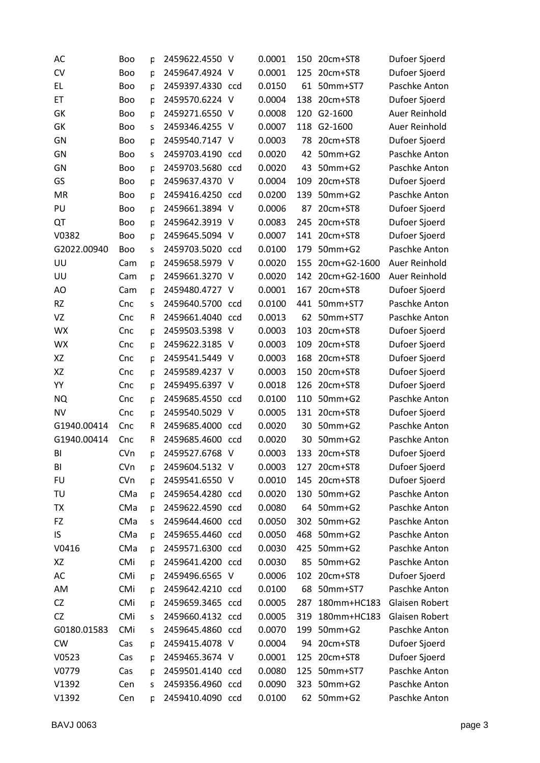| AC          | <b>Boo</b> | p | 2459622.4550     | -V  | 0.0001 | 150 | 20cm+ST8     | Dufoer Sjoerd  |
|-------------|------------|---|------------------|-----|--------|-----|--------------|----------------|
| <b>CV</b>   | <b>Boo</b> | p | 2459647.4924 V   |     | 0.0001 | 125 | 20cm+ST8     | Dufoer Sjoerd  |
| EL          | Boo        | p | 2459397.4330 ccd |     | 0.0150 | 61  | 50mm+ST7     | Paschke Anton  |
| ET          | <b>Boo</b> | p | 2459570.6224 V   |     | 0.0004 | 138 | 20cm+ST8     | Dufoer Sjoerd  |
| GK          | <b>Boo</b> | p | 2459271.6550 V   |     | 0.0008 | 120 | G2-1600      | Auer Reinhold  |
| GK          | <b>Boo</b> | S | 2459346.4255 V   |     | 0.0007 | 118 | G2-1600      | Auer Reinhold  |
| GN          | Boo        | p | 2459540.7147 V   |     | 0.0003 | 78  | 20cm+ST8     | Dufoer Sjoerd  |
| GN          | <b>Boo</b> | S | 2459703.4190 ccd |     | 0.0020 | 42  | 50mm+G2      | Paschke Anton  |
| GN          | <b>Boo</b> | p | 2459703.5680 ccd |     | 0.0020 | 43  | 50mm+G2      | Paschke Anton  |
| GS          | <b>Boo</b> | p | 2459637.4370 V   |     | 0.0004 | 109 | 20cm+ST8     | Dufoer Sjoerd  |
| MR          | <b>Boo</b> | p | 2459416.4250 ccd |     | 0.0200 | 139 | 50mm+G2      | Paschke Anton  |
| PU          | <b>Boo</b> | p | 2459661.3894 V   |     | 0.0006 | 87  | 20cm+ST8     | Dufoer Sjoerd  |
| QT          | <b>Boo</b> | p | 2459642.3919 V   |     | 0.0083 | 245 | 20cm+ST8     | Dufoer Sjoerd  |
| V0382       | <b>Boo</b> | p | 2459645.5094 V   |     | 0.0007 | 141 | 20cm+ST8     | Dufoer Sjoerd  |
| G2022.00940 | <b>Boo</b> | S | 2459703.5020 ccd |     | 0.0100 | 179 | 50mm+G2      | Paschke Anton  |
| UU          | Cam        | p | 2459658.5979 V   |     | 0.0020 | 155 | 20cm+G2-1600 | Auer Reinhold  |
| UU          | Cam        | p | 2459661.3270 V   |     | 0.0020 | 142 | 20cm+G2-1600 | Auer Reinhold  |
| AO          | Cam        | p | 2459480.4727 V   |     | 0.0001 | 167 | 20cm+ST8     | Dufoer Sjoerd  |
| <b>RZ</b>   | Cnc        | S | 2459640.5700 ccd |     | 0.0100 | 441 | 50mm+ST7     | Paschke Anton  |
| VZ          | Cnc        | R | 2459661.4040 ccd |     | 0.0013 | 62  | 50mm+ST7     | Paschke Anton  |
| <b>WX</b>   | Cnc        | p | 2459503.5398 V   |     | 0.0003 | 103 | 20cm+ST8     | Dufoer Sjoerd  |
| <b>WX</b>   | Cnc        | p | 2459622.3185 V   |     | 0.0003 | 109 | 20cm+ST8     | Dufoer Sjoerd  |
| XZ          | Cnc        | p | 2459541.5449     | - V | 0.0003 | 168 | 20cm+ST8     | Dufoer Sjoerd  |
| XZ          | Cnc        | p | 2459589.4237 V   |     | 0.0003 | 150 | 20cm+ST8     | Dufoer Sjoerd  |
| YY          | Cnc        | p | 2459495.6397 V   |     | 0.0018 | 126 | 20cm+ST8     | Dufoer Sjoerd  |
| <b>NQ</b>   | Cnc        | p | 2459685.4550 ccd |     | 0.0100 | 110 | 50mm+G2      | Paschke Anton  |
| NV          | Cnc        | p | 2459540.5029 V   |     | 0.0005 | 131 | 20cm+ST8     | Dufoer Sjoerd  |
| G1940.00414 | Cnc        | R | 2459685.4000 ccd |     | 0.0020 | 30  | 50mm+G2      | Paschke Anton  |
| G1940.00414 | Cnc        | R | 2459685.4600     | ccd | 0.0020 | 30  | 50mm+G2      | Paschke Anton  |
| BI          | CVn        | p | 2459527.6768 V   |     | 0.0003 | 133 | 20cm+ST8     | Dufoer Sjoerd  |
| BI          | CVn        | p | 2459604.5132 V   |     | 0.0003 | 127 | 20cm+ST8     | Dufoer Sjoerd  |
| <b>FU</b>   | CVn        | p | 2459541.6550 V   |     | 0.0010 | 145 | 20cm+ST8     | Dufoer Sjoerd  |
| TU          | CMa        | p | 2459654.4280 ccd |     | 0.0020 | 130 | 50mm+G2      | Paschke Anton  |
| TX          | CMa        | p | 2459622.4590 ccd |     | 0.0080 | 64  | 50mm+G2      | Paschke Anton  |
| FZ          | CMa        | S | 2459644.4600 ccd |     | 0.0050 |     | 302 50mm+G2  | Paschke Anton  |
| IS          | CMa        | p | 2459655.4460 ccd |     | 0.0050 |     | 468 50mm+G2  | Paschke Anton  |
| V0416       | CMa        | p | 2459571.6300 ccd |     | 0.0030 | 425 | 50mm+G2      | Paschke Anton  |
| XZ          | CMi        | p | 2459641.4200 ccd |     | 0.0030 | 85  | 50mm+G2      | Paschke Anton  |
| AC          | CMi        | p | 2459496.6565 V   |     | 0.0006 |     | 102 20cm+ST8 | Dufoer Sjoerd  |
| AM          | CMi        | p | 2459642.4210 ccd |     | 0.0100 | 68  | 50mm+ST7     | Paschke Anton  |
| CZ          | CMi        | p | 2459659.3465 ccd |     | 0.0005 | 287 | 180mm+HC183  | Glaisen Robert |
| CZ          | CMi        | s | 2459660.4132 ccd |     | 0.0005 | 319 | 180mm+HC183  | Glaisen Robert |
| G0180.01583 | CMi        | s | 2459645.4860 ccd |     | 0.0070 | 199 | 50mm+G2      | Paschke Anton  |
| <b>CW</b>   | Cas        | p | 2459415.4078 V   |     | 0.0004 | 94  | 20cm+ST8     | Dufoer Sjoerd  |
| V0523       | Cas        | p | 2459465.3674 V   |     | 0.0001 | 125 | 20cm+ST8     | Dufoer Sjoerd  |
| V0779       | Cas        | p | 2459501.4140 ccd |     | 0.0080 | 125 | 50mm+ST7     | Paschke Anton  |
| V1392       | Cen        | S | 2459356.4960 ccd |     | 0.0090 |     | 323 50mm+G2  | Paschke Anton  |
| V1392       | Cen        | p | 2459410.4090 ccd |     | 0.0100 |     | 62 50mm+G2   | Paschke Anton  |
|             |            |   |                  |     |        |     |              |                |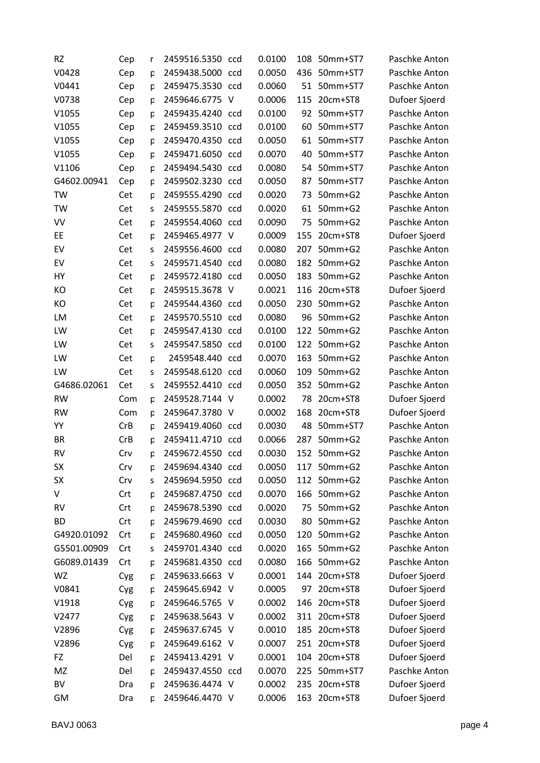| <b>RZ</b>   | Cep | r | 2459516.5350 ccd | 0.0100 | 108 | 50mm+ST7      | Paschke Anton |
|-------------|-----|---|------------------|--------|-----|---------------|---------------|
| V0428       | Cep | р | 2459438.5000 ccd | 0.0050 | 436 | 50mm+ST7      | Paschke Anton |
| V0441       | Cep | p | 2459475.3530 ccd | 0.0060 | 51  | 50mm+ST7      | Paschke Anton |
| V0738       | Cep | p | 2459646.6775 V   | 0.0006 | 115 | 20cm+ST8      | Dufoer Sjoerd |
| V1055       | Cep | p | 2459435.4240 ccd | 0.0100 | 92  | 50mm+ST7      | Paschke Anton |
| V1055       | Cep | p | 2459459.3510 ccd | 0.0100 | 60  | 50mm+ST7      | Paschke Anton |
| V1055       | Cep | р | 2459470.4350 ccd | 0.0050 | 61  | 50mm+ST7      | Paschke Anton |
| V1055       | Cep | p | 2459471.6050 ccd | 0.0070 | 40  | 50mm+ST7      | Paschke Anton |
| V1106       | Cep | p | 2459494.5430 ccd | 0.0080 | 54  | 50mm+ST7      | Paschke Anton |
| G4602.00941 | Cep | p | 2459502.3230 ccd | 0.0050 | 87  | 50mm+ST7      | Paschke Anton |
| TW          | Cet | р | 2459555.4290 ccd | 0.0020 | 73  | 50mm+G2       | Paschke Anton |
| TW          | Cet | S | 2459555.5870 ccd | 0.0020 | 61  | 50mm+G2       | Paschke Anton |
| VV          | Cet | p | 2459554.4060 ccd | 0.0090 | 75  | $50mm+G2$     | Paschke Anton |
| EE          | Cet | p | 2459465.4977 V   | 0.0009 | 155 | 20cm+ST8      | Dufoer Sjoerd |
| EV          | Cet | S | 2459556.4600 ccd | 0.0080 | 207 | 50mm+G2       | Paschke Anton |
| EV          | Cet | S | 2459571.4540 ccd | 0.0080 | 182 | 50mm+G2       | Paschke Anton |
| HY          | Cet | p | 2459572.4180 ccd | 0.0050 | 183 | 50mm+G2       | Paschke Anton |
| KO          | Cet | p | 2459515.3678 V   | 0.0021 | 116 | 20cm+ST8      | Dufoer Sjoerd |
| KO          | Cet | p | 2459544.4360 ccd | 0.0050 | 230 | $50mm+G2$     | Paschke Anton |
| LM          | Cet | p | 2459570.5510 ccd | 0.0080 | 96  | 50mm+G2       | Paschke Anton |
| LW          | Cet | p | 2459547.4130 ccd | 0.0100 | 122 | 50mm+G2       | Paschke Anton |
| LW          | Cet | S | 2459547.5850 ccd | 0.0100 | 122 | 50mm+G2       | Paschke Anton |
| LW          | Cet | p | 2459548.440 ccd  | 0.0070 | 163 | 50mm+G2       | Paschke Anton |
| LW          | Cet | S | 2459548.6120 ccd | 0.0060 | 109 | 50mm+G2       | Paschke Anton |
| G4686.02061 | Cet | S | 2459552.4410 ccd | 0.0050 | 352 | 50mm+G2       | Paschke Anton |
| <b>RW</b>   | Com | p | 2459528.7144 V   | 0.0002 | 78  | 20cm+ST8      | Dufoer Sjoerd |
| <b>RW</b>   | Com | p | 2459647.3780 V   | 0.0002 | 168 | 20cm+ST8      | Dufoer Sjoerd |
| YY          | CrB | p | 2459419.4060 ccd | 0.0030 | 48  | 50mm+ST7      | Paschke Anton |
| <b>BR</b>   | CrB | p | 2459411.4710 ccd | 0.0066 | 287 | $50mm+G2$     | Paschke Anton |
| <b>RV</b>   | Crv | p | 2459672.4550 ccd | 0.0030 |     | 152 50mm+G2   | Paschke Anton |
| <b>SX</b>   | Crv | р | 2459694.4340 ccd | 0.0050 | 117 | 50mm+G2       | Paschke Anton |
| <b>SX</b>   | Crv | S | 2459694.5950 ccd | 0.0050 |     | 112 50mm+G2   | Paschke Anton |
| V           | Crt | р | 2459687.4750 ccd | 0.0070 |     | 166 50mm+G2   | Paschke Anton |
| <b>RV</b>   | Crt | p | 2459678.5390 ccd | 0.0020 | 75  | 50mm+G2       | Paschke Anton |
| <b>BD</b>   | Crt | р | 2459679.4690 ccd | 0.0030 | 80  | $50$ mm $+G2$ | Paschke Anton |
| G4920.01092 | Crt | p | 2459680.4960 ccd | 0.0050 | 120 | 50mm+G2       | Paschke Anton |
| G5501.00909 | Crt | S | 2459701.4340 ccd | 0.0020 | 165 | 50mm+G2       | Paschke Anton |
| G6089.01439 | Crt | p | 2459681.4350 ccd | 0.0080 |     | 166 50mm+G2   | Paschke Anton |
| WZ          | Cyg | р | 2459633.6663 V   | 0.0001 |     | 144 20cm+ST8  | Dufoer Sjoerd |
| V0841       | Cyg | p | 2459645.6942 V   | 0.0005 | 97  | 20cm+ST8      | Dufoer Sjoerd |
| V1918       | Cyg | р | 2459646.5765 V   | 0.0002 | 146 | 20cm+ST8      | Dufoer Sjoerd |
| V2477       | Cyg | р | 2459638.5643 V   | 0.0002 | 311 | 20cm+ST8      | Dufoer Sjoerd |
| V2896       | Cyg | р | 2459637.6745 V   | 0.0010 | 185 | 20cm+ST8      | Dufoer Sjoerd |
| V2896       | Cyg | p | 2459649.6162 V   | 0.0007 |     | 251 20cm+ST8  | Dufoer Sjoerd |
| FZ          | Del | р | 2459413.4291 V   | 0.0001 |     | 104 20cm+ST8  | Dufoer Sjoerd |
| MZ          | Del | p | 2459437.4550 ccd | 0.0070 | 225 | 50mm+ST7      | Paschke Anton |
| BV          | Dra | р | 2459636.4474 V   | 0.0002 | 235 | 20cm+ST8      | Dufoer Sjoerd |
| GM          | Dra | p | 2459646.4470 V   | 0.0006 | 163 | 20cm+ST8      | Dufoer Sjoerd |
|             |     |   |                  |        |     |               |               |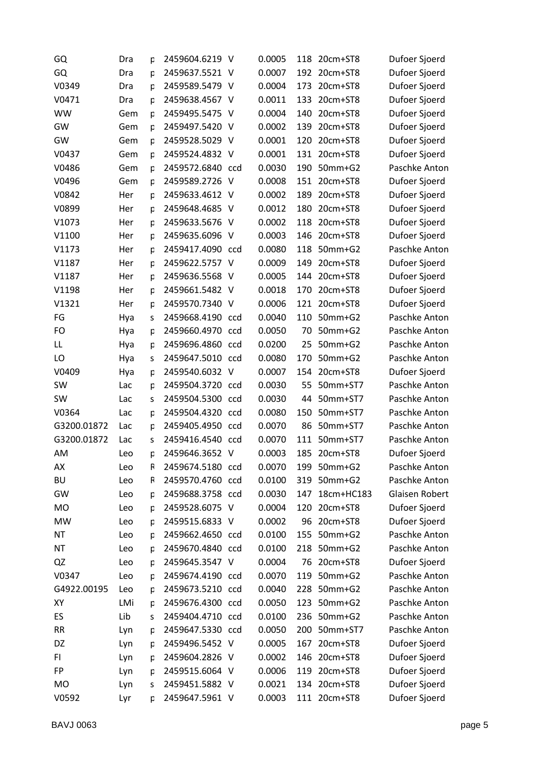| GQ          | Dra | р | 2459604.6219 V   | 0.0005 | 118 | 20cm+ST8     | Dufoer Sjoerd  |
|-------------|-----|---|------------------|--------|-----|--------------|----------------|
| GQ          | Dra | p | 2459637.5521 V   | 0.0007 |     | 192 20cm+ST8 | Dufoer Sjoerd  |
| V0349       | Dra | р | 2459589.5479 V   | 0.0004 | 173 | 20cm+ST8     | Dufoer Sjoerd  |
| V0471       | Dra | р | 2459638.4567 V   | 0.0011 | 133 | 20cm+ST8     | Dufoer Sjoerd  |
| <b>WW</b>   | Gem | р | 2459495.5475 V   | 0.0004 | 140 | 20cm+ST8     | Dufoer Sjoerd  |
| GW          | Gem | p | 2459497.5420 V   | 0.0002 | 139 | 20cm+ST8     | Dufoer Sjoerd  |
| GW          | Gem | p | 2459528.5029 V   | 0.0001 | 120 | 20cm+ST8     | Dufoer Sjoerd  |
| V0437       | Gem | p | 2459524.4832 V   | 0.0001 | 131 | 20cm+ST8     | Dufoer Sjoerd  |
| V0486       | Gem | p | 2459572.6840 ccd | 0.0030 | 190 | 50mm+G2      | Paschke Anton  |
| V0496       | Gem | p | 2459589.2726 V   | 0.0008 | 151 | 20cm+ST8     | Dufoer Sjoerd  |
| V0842       | Her | р | 2459633.4612 V   | 0.0002 | 189 | 20cm+ST8     | Dufoer Sjoerd  |
| V0899       | Her | р | 2459648.4685 V   | 0.0012 | 180 | 20cm+ST8     | Dufoer Sjoerd  |
| V1073       | Her | р | 2459633.5676 V   | 0.0002 | 118 | 20cm+ST8     | Dufoer Sjoerd  |
| V1100       | Her | þ | 2459635.6096 V   | 0.0003 | 146 | 20cm+ST8     | Dufoer Sjoerd  |
| V1173       | Her | р | 2459417.4090 ccd | 0.0080 | 118 | 50mm+G2      | Paschke Anton  |
| V1187       | Her | р | 2459622.5757 V   | 0.0009 | 149 | 20cm+ST8     | Dufoer Sjoerd  |
| V1187       | Her | р | 2459636.5568 V   | 0.0005 | 144 | 20cm+ST8     | Dufoer Sjoerd  |
| V1198       | Her | þ | 2459661.5482 V   | 0.0018 | 170 | 20cm+ST8     | Dufoer Sjoerd  |
| V1321       | Her | р | 2459570.7340 V   | 0.0006 | 121 | 20cm+ST8     | Dufoer Sjoerd  |
| FG          | Hya | s | 2459668.4190 ccd | 0.0040 | 110 | 50mm+G2      | Paschke Anton  |
| FO          | Hya | р | 2459660.4970 ccd | 0.0050 | 70  | 50mm+G2      | Paschke Anton  |
| LL          | Hya | р | 2459696.4860 ccd | 0.0200 | 25  | 50mm+G2      | Paschke Anton  |
| LO          | Hya | s | 2459647.5010 ccd | 0.0080 | 170 | 50mm+G2      | Paschke Anton  |
| V0409       | Hya | р | 2459540.6032 V   | 0.0007 | 154 | 20cm+ST8     | Dufoer Sjoerd  |
| <b>SW</b>   | Lac | р | 2459504.3720 ccd | 0.0030 | 55  | 50mm+ST7     | Paschke Anton  |
| SW          | Lac | S | 2459504.5300 ccd | 0.0030 | 44  | 50mm+ST7     | Paschke Anton  |
| V0364       | Lac | р | 2459504.4320 ccd | 0.0080 | 150 | 50mm+ST7     | Paschke Anton  |
| G3200.01872 | Lac | р | 2459405.4950 ccd | 0.0070 | 86  | 50mm+ST7     | Paschke Anton  |
| G3200.01872 | Lac | S | 2459416.4540 ccd | 0.0070 | 111 | 50mm+ST7     | Paschke Anton  |
| AM          | Leo | p | 2459646.3652 V   | 0.0003 | 185 | 20cm+ST8     | Dufoer Sjoerd  |
| AX          | Leo | R | 2459674.5180 ccd | 0.0070 | 199 | 50mm+G2      | Paschke Anton  |
| <b>BU</b>   | Leo | R | 2459570.4760 ccd | 0.0100 | 319 | 50mm+G2      | Paschke Anton  |
| GW          | Leo | р | 2459688.3758 ccd | 0.0030 | 147 | 18cm+HC183   | Glaisen Robert |
| <b>MO</b>   | Leo | р | 2459528.6075 V   | 0.0004 | 120 | 20cm+ST8     | Dufoer Sjoerd  |
| MW          | Leo | р | 2459515.6833 V   | 0.0002 | 96  | 20cm+ST8     | Dufoer Sjoerd  |
| <b>NT</b>   | Leo | p | 2459662.4650 ccd | 0.0100 | 155 | 50mm+G2      | Paschke Anton  |
| <b>NT</b>   | Leo | р | 2459670.4840 ccd | 0.0100 | 218 | 50mm+G2      | Paschke Anton  |
| QZ          | Leo | р | 2459645.3547 V   | 0.0004 | 76  | 20cm+ST8     | Dufoer Sjoerd  |
| V0347       | Leo | р | 2459674.4190 ccd | 0.0070 | 119 | 50mm+G2      | Paschke Anton  |
| G4922.00195 | Leo | p | 2459673.5210 ccd | 0.0040 | 228 | 50mm+G2      | Paschke Anton  |
| XY          | LMi | р | 2459676.4300 ccd | 0.0050 |     | 123 50mm+G2  | Paschke Anton  |
| ES          | Lib | s | 2459404.4710 ccd | 0.0100 | 236 | 50mm+G2      | Paschke Anton  |
| <b>RR</b>   | Lyn | р | 2459647.5330 ccd | 0.0050 | 200 | 50mm+ST7     | Paschke Anton  |
| DZ          | Lyn | р | 2459496.5452 V   | 0.0005 | 167 | 20cm+ST8     | Dufoer Sjoerd  |
| FI.         | Lyn | р | 2459604.2826 V   | 0.0002 | 146 | 20cm+ST8     | Dufoer Sjoerd  |
| FP          | Lyn | p | 2459515.6064 V   | 0.0006 | 119 | 20cm+ST8     | Dufoer Sjoerd  |
| <b>MO</b>   | Lyn | S | 2459451.5882 V   | 0.0021 |     | 134 20cm+ST8 | Dufoer Sjoerd  |
| V0592       | Lyr | p | 2459647.5961 V   | 0.0003 | 111 | 20cm+ST8     | Dufoer Sjoerd  |
|             |     |   |                  |        |     |              |                |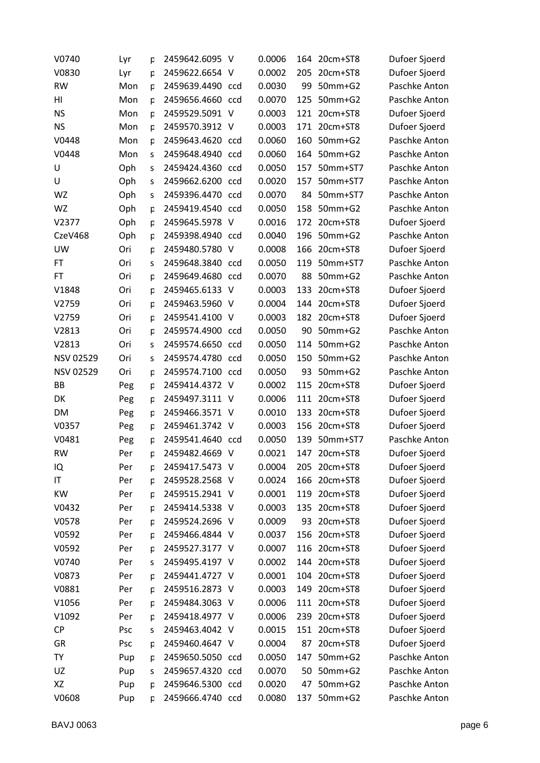| V0740            | Lyr | р | 2459642.6095 V   |     | 0.0006 | 164 | 20cm+ST8     | Dufoer Sjoerd |
|------------------|-----|---|------------------|-----|--------|-----|--------------|---------------|
| V0830            | Lyr | р | 2459622.6654 V   |     | 0.0002 | 205 | 20cm+ST8     | Dufoer Sjoerd |
| <b>RW</b>        | Mon | p | 2459639.4490 ccd |     | 0.0030 | 99  | 50mm+G2      | Paschke Anton |
| HI               | Mon | p | 2459656.4660 ccd |     | 0.0070 | 125 | 50mm+G2      | Paschke Anton |
| <b>NS</b>        | Mon | p | 2459529.5091 V   |     | 0.0003 | 121 | 20cm+ST8     | Dufoer Sjoerd |
| <b>NS</b>        | Mon | p | 2459570.3912 V   |     | 0.0003 | 171 | 20cm+ST8     | Dufoer Sjoerd |
| V0448            | Mon | p | 2459643.4620 ccd |     | 0.0060 | 160 | 50mm+G2      | Paschke Anton |
| V0448            | Mon | S | 2459648.4940 ccd |     | 0.0060 | 164 | 50mm+G2      | Paschke Anton |
| U                | Oph | S | 2459424.4360 ccd |     | 0.0050 | 157 | 50mm+ST7     | Paschke Anton |
| U                | Oph | S | 2459662.6200 ccd |     | 0.0020 | 157 | 50mm+ST7     | Paschke Anton |
| WZ               | Oph | s | 2459396.4470 ccd |     | 0.0070 | 84  | 50mm+ST7     | Paschke Anton |
| WZ               | Oph | p | 2459419.4540 ccd |     | 0.0050 | 158 | 50mm+G2      | Paschke Anton |
| V2377            | Oph | р | 2459645.5978 V   |     | 0.0016 | 172 | 20cm+ST8     | Dufoer Sjoerd |
| CzeV468          | Oph | р | 2459398.4940 ccd |     | 0.0040 | 196 | 50mm+G2      | Paschke Anton |
| UW               | Ori | p | 2459480.5780 V   |     | 0.0008 | 166 | 20cm+ST8     | Dufoer Sjoerd |
| FT               | Ori | S | 2459648.3840 ccd |     | 0.0050 | 119 | 50mm+ST7     | Paschke Anton |
| FT.              | Ori | p | 2459649.4680 ccd |     | 0.0070 | 88  | 50mm+G2      | Paschke Anton |
| V1848            | Ori | p | 2459465.6133 V   |     | 0.0003 | 133 | 20cm+ST8     | Dufoer Sjoerd |
| V2759            | Ori | p | 2459463.5960 V   |     | 0.0004 | 144 | 20cm+ST8     | Dufoer Sjoerd |
| V2759            | Ori | p | 2459541.4100 V   |     | 0.0003 | 182 | 20cm+ST8     | Dufoer Sjoerd |
| V2813            | Ori | p | 2459574.4900 ccd |     | 0.0050 | 90  | 50mm+G2      | Paschke Anton |
| V2813            | Ori | S | 2459574.6650 ccd |     | 0.0050 | 114 | 50mm+G2      | Paschke Anton |
| <b>NSV 02529</b> | Ori | S | 2459574.4780 ccd |     | 0.0050 | 150 | 50mm+G2      | Paschke Anton |
| <b>NSV 02529</b> | Ori | p | 2459574.7100 ccd |     | 0.0050 | 93  | 50mm+G2      | Paschke Anton |
| BB               | Peg | р | 2459414.4372 V   |     | 0.0002 | 115 | 20cm+ST8     | Dufoer Sjoerd |
| DK               | Peg | р | 2459497.3111 V   |     | 0.0006 | 111 | 20cm+ST8     | Dufoer Sjoerd |
| DM               | Peg | р | 2459466.3571     | - V | 0.0010 | 133 | 20cm+ST8     | Dufoer Sjoerd |
| V0357            | Peg | р | 2459461.3742 V   |     | 0.0003 | 156 | 20cm+ST8     | Dufoer Sjoerd |
| V0481            | Peg | р | 2459541.4640 ccd |     | 0.0050 | 139 | 50mm+ST7     | Paschke Anton |
| <b>RW</b>        | Per | p | 2459482.4669 V   |     | 0.0021 | 147 | 20cm+ST8     | Dufoer Sjoerd |
| IQ               | Per | р | 2459417.5473 V   |     | 0.0004 | 205 | 20cm+ST8     | Dufoer Sjoerd |
| IT               | Per | p | 2459528.2568 V   |     | 0.0024 | 166 | 20cm+ST8     | Dufoer Sjoerd |
| KW               | Per | р | 2459515.2941 V   |     | 0.0001 |     | 119 20cm+ST8 | Dufoer Sjoerd |
| V0432            | Per | р | 2459414.5338 V   |     | 0.0003 | 135 | 20cm+ST8     | Dufoer Sjoerd |
| V0578            | Per | р | 2459524.2696 V   |     | 0.0009 | 93  | 20cm+ST8     | Dufoer Sjoerd |
| V0592            | Per | p | 2459466.4844 V   |     | 0.0037 | 156 | 20cm+ST8     | Dufoer Sjoerd |
| V0592            | Per | р | 2459527.3177 V   |     | 0.0007 |     | 116 20cm+ST8 | Dufoer Sjoerd |
| V0740            | Per | S | 2459495.4197 V   |     | 0.0002 | 144 | 20cm+ST8     | Dufoer Sjoerd |
| V0873            | Per | р | 2459441.4727 V   |     | 0.0001 | 104 | 20cm+ST8     | Dufoer Sjoerd |
| V0881            | Per | p | 2459516.2873 V   |     | 0.0003 | 149 | 20cm+ST8     | Dufoer Sjoerd |
| V1056            | Per | р | 2459484.3063 V   |     | 0.0006 |     | 111 20cm+ST8 | Dufoer Sjoerd |
| V1092            | Per | р | 2459418.4977 V   |     | 0.0006 | 239 | 20cm+ST8     | Dufoer Sjoerd |
| <b>CP</b>        | Psc | S | 2459463.4042 V   |     | 0.0015 |     | 151 20cm+ST8 | Dufoer Sjoerd |
| GR               | Psc | р | 2459460.4647 V   |     | 0.0004 | 87  | 20cm+ST8     | Dufoer Sjoerd |
| <b>TY</b>        | Pup | р | 2459650.5050 ccd |     | 0.0050 | 147 | 50mm+G2      | Paschke Anton |
| UZ               | Pup | S | 2459657.4320 ccd |     | 0.0070 | 50  | 50mm+G2      | Paschke Anton |
| XZ               | Pup | р | 2459646.5300 ccd |     | 0.0020 | 47  | 50mm+G2      | Paschke Anton |
| V0608            | Pup | p | 2459666.4740 ccd |     | 0.0080 | 137 | 50mm+G2      | Paschke Anton |
|                  |     |   |                  |     |        |     |              |               |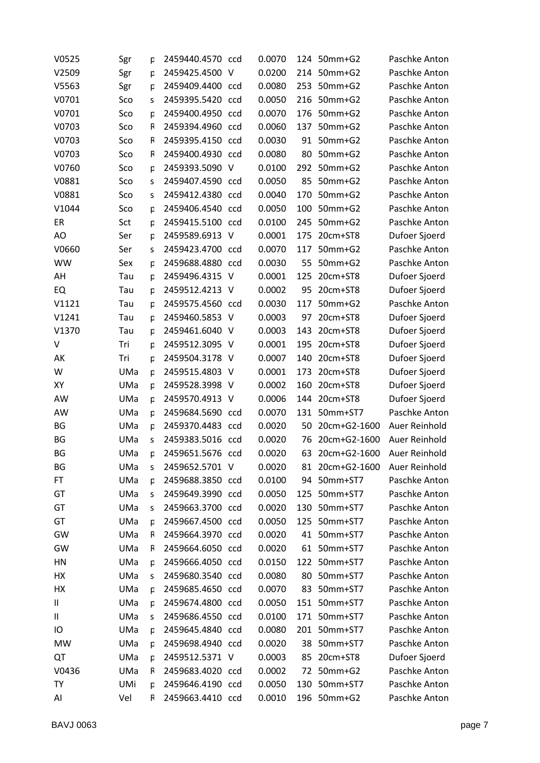| V0525     | Sgr | р | 2459440.4570 ccd |     | 0.0070 | 124 | 50mm+G2      | Paschke Anton |
|-----------|-----|---|------------------|-----|--------|-----|--------------|---------------|
| V2509     | Sgr | p | 2459425.4500     | - V | 0.0200 | 214 | 50mm+G2      | Paschke Anton |
| V5563     | Sgr | p | 2459409.4400 ccd |     | 0.0080 | 253 | 50mm+G2      | Paschke Anton |
| V0701     | Sco | S | 2459395.5420 ccd |     | 0.0050 | 216 | $50mm+G2$    | Paschke Anton |
| V0701     | Sco | p | 2459400.4950 ccd |     | 0.0070 | 176 | 50mm+G2      | Paschke Anton |
| V0703     | Sco | R | 2459394.4960 ccd |     | 0.0060 | 137 | $50mm+G2$    | Paschke Anton |
| V0703     | Sco | R | 2459395.4150 ccd |     | 0.0030 | 91  | 50mm+G2      | Paschke Anton |
| V0703     | Sco | R | 2459400.4930 ccd |     | 0.0080 | 80  | 50mm+G2      | Paschke Anton |
| V0760     | Sco | p | 2459393.5090 V   |     | 0.0100 | 292 | $50mm+G2$    | Paschke Anton |
| V0881     | Sco | S | 2459407.4590 ccd |     | 0.0050 | 85  | 50mm+G2      | Paschke Anton |
| V0881     | Sco | S | 2459412.4380 ccd |     | 0.0040 | 170 | 50mm+G2      | Paschke Anton |
| V1044     | Sco | p | 2459406.4540 ccd |     | 0.0050 | 100 | 50mm+G2      | Paschke Anton |
| ER        | Sct | p | 2459415.5100 ccd |     | 0.0100 | 245 | $50mm+G2$    | Paschke Anton |
| AO        | Ser | p | 2459589.6913 V   |     | 0.0001 | 175 | 20cm+ST8     | Dufoer Sjoerd |
| V0660     | Ser | S | 2459423.4700 ccd |     | 0.0070 | 117 | 50mm+G2      | Paschke Anton |
| <b>WW</b> | Sex | p | 2459688.4880 ccd |     | 0.0030 | 55  | 50mm+G2      | Paschke Anton |
| AH        | Tau | p | 2459496.4315 V   |     | 0.0001 | 125 | 20cm+ST8     | Dufoer Sjoerd |
| EQ        | Tau | þ | 2459512.4213 V   |     | 0.0002 | 95  | 20cm+ST8     | Dufoer Sjoerd |
| V1121     | Tau | р | 2459575.4560 ccd |     | 0.0030 | 117 | 50mm+G2      | Paschke Anton |
| V1241     | Tau | р | 2459460.5853 V   |     | 0.0003 | 97  | 20cm+ST8     | Dufoer Sjoerd |
| V1370     | Tau | p | 2459461.6040 V   |     | 0.0003 | 143 | 20cm+ST8     | Dufoer Sjoerd |
| V         | Tri | þ | 2459512.3095     | - V | 0.0001 | 195 | 20cm+ST8     | Dufoer Sjoerd |
| AK        | Tri | р | 2459504.3178 V   |     | 0.0007 | 140 | 20cm+ST8     | Dufoer Sjoerd |
| W         | UMa | p | 2459515.4803     | - V | 0.0001 | 173 | 20cm+ST8     | Dufoer Sjoerd |
| XY        | UMa | p | 2459528.3998 V   |     | 0.0002 | 160 | 20cm+ST8     | Dufoer Sjoerd |
| AW        | UMa | p | 2459570.4913 V   |     | 0.0006 | 144 | 20cm+ST8     | Dufoer Sjoerd |
| AW        | UMa | р | 2459684.5690 ccd |     | 0.0070 | 131 | 50mm+ST7     | Paschke Anton |
| BG        | UMa | p | 2459370.4483 ccd |     | 0.0020 | 50  | 20cm+G2-1600 | Auer Reinhold |
| ΒG        | UMa | S | 2459383.5016 ccd |     | 0.0020 | 76  | 20cm+G2-1600 | Auer Reinhold |
| ΒG        | UMa | p | 2459651.5676 ccd |     | 0.0020 | 63  | 20cm+G2-1600 | Auer Reinhold |
| BG        | UMa | s | 2459652.5701 V   |     | 0.0020 | 81  | 20cm+G2-1600 | Auer Reinhold |
| FT        | UMa | p | 2459688.3850 ccd |     | 0.0100 | 94  | 50mm+ST7     | Paschke Anton |
| GT        | UMa | S | 2459649.3990 ccd |     | 0.0050 | 125 | 50mm+ST7     | Paschke Anton |
| GT        | UMa | S | 2459663.3700 ccd |     | 0.0020 | 130 | 50mm+ST7     | Paschke Anton |
| GT        | UMa | р | 2459667.4500 ccd |     | 0.0050 |     | 125 50mm+ST7 | Paschke Anton |
| GW        | UMa | R | 2459664.3970 ccd |     | 0.0020 | 41  | 50mm+ST7     | Paschke Anton |
| GW        | UMa | R | 2459664.6050 ccd |     | 0.0020 |     | 61 50mm+ST7  | Paschke Anton |
| HN        | UMa | р | 2459666.4050 ccd |     | 0.0150 | 122 | 50mm+ST7     | Paschke Anton |
| НX        | UMa | S | 2459680.3540 ccd |     | 0.0080 | 80  | 50mm+ST7     | Paschke Anton |
| НX        | UMa | p | 2459685.4650 ccd |     | 0.0070 | 83  | 50mm+ST7     | Paschke Anton |
| Ш         | UMa | р | 2459674.4800 ccd |     | 0.0050 |     | 151 50mm+ST7 | Paschke Anton |
| Ш         | UMa | S | 2459686.4550 ccd |     | 0.0100 | 171 | 50mm+ST7     | Paschke Anton |
| Ю         | UMa | р | 2459645.4840 ccd |     | 0.0080 |     | 201 50mm+ST7 | Paschke Anton |
| <b>MW</b> | UMa | p | 2459698.4940 ccd |     | 0.0020 | 38  | 50mm+ST7     | Paschke Anton |
| QT        | UMa | р | 2459512.5371 V   |     | 0.0003 | 85  | 20cm+ST8     | Dufoer Sjoerd |
| V0436     | UMa | R | 2459683.4020 ccd |     | 0.0002 | 72  | 50mm+G2      | Paschke Anton |
| TY        | UMi | р | 2459646.4190 ccd |     | 0.0050 | 130 | 50mm+ST7     | Paschke Anton |
| Al        | Vel | R | 2459663.4410 ccd |     | 0.0010 | 196 | 50mm+G2      | Paschke Anton |
|           |     |   |                  |     |        |     |              |               |